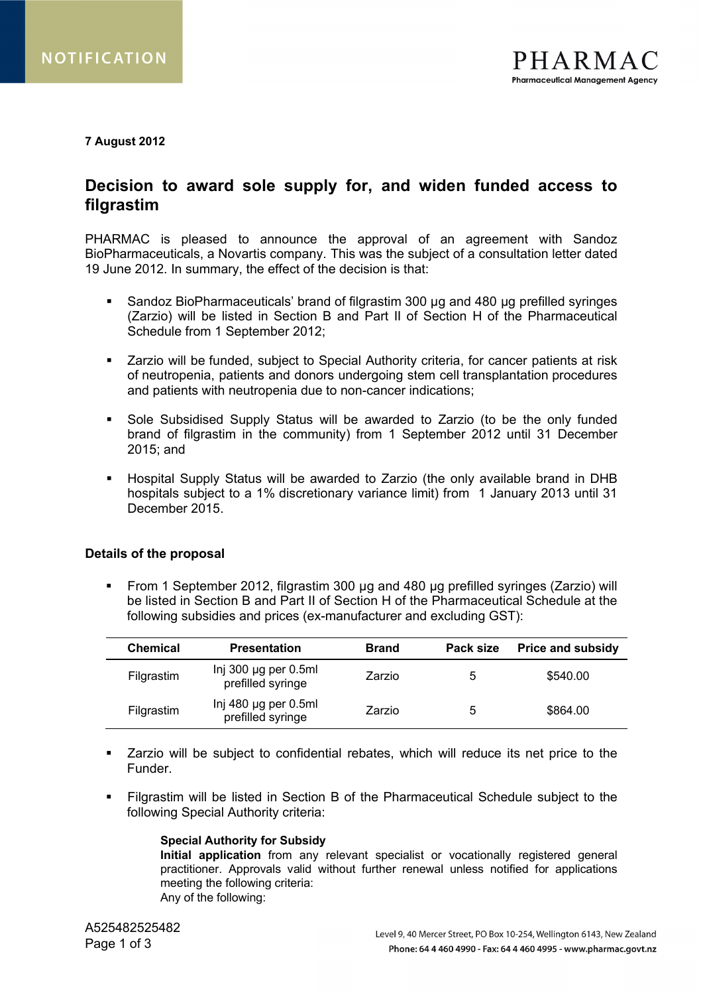## **7 August 2012**

# **Decision to award sole supply for, and widen funded access to filgrastim**

PHARMAC is pleased to announce the approval of an agreement with Sandoz BioPharmaceuticals, a Novartis company. This was the subject of a consultation letter dated 19 June 2012. In summary, the effect of the decision is that:

- Sandoz BioPharmaceuticals' brand of filgrastim 300 µg and 480 µg prefilled syringes (Zarzio) will be listed in Section B and Part II of Section H of the Pharmaceutical Schedule from 1 September 2012;
- Zarzio will be funded, subject to Special Authority criteria, for cancer patients at risk of neutropenia, patients and donors undergoing stem cell transplantation procedures and patients with neutropenia due to non-cancer indications;
- Sole Subsidised Supply Status will be awarded to Zarzio (to be the only funded brand of filgrastim in the community) from 1 September 2012 until 31 December 2015; and
- Hospital Supply Status will be awarded to Zarzio (the only available brand in DHB hospitals subject to a 1% discretionary variance limit) from 1 January 2013 until 31 December 2015.

# **Details of the proposal**

 From 1 September 2012, filgrastim 300 µg and 480 µg prefilled syringes (Zarzio) will be listed in Section B and Part II of Section H of the Pharmaceutical Schedule at the following subsidies and prices (ex-manufacturer and excluding GST):

| <b>Chemical</b> | <b>Presentation</b>                            | <b>Brand</b> | Pack size | <b>Price and subsidy</b> |
|-----------------|------------------------------------------------|--------------|-----------|--------------------------|
| Filgrastim      | Inj 300 $\mu$ g per 0.5ml<br>prefilled syringe | Zarzio       | ა         | \$540.00                 |
| Filgrastim      | Inj 480 $\mu$ g per 0.5ml<br>prefilled syringe | Zarzio       | 5         | \$864.00                 |

- Zarzio will be subject to confidential rebates, which will reduce its net price to the Funder.
- Filgrastim will be listed in Section B of the Pharmaceutical Schedule subject to the following Special Authority criteria:

#### **Special Authority for Subsidy**

**Initial application** from any relevant specialist or vocationally registered general practitioner. Approvals valid without further renewal unless notified for applications meeting the following criteria: Any of the following: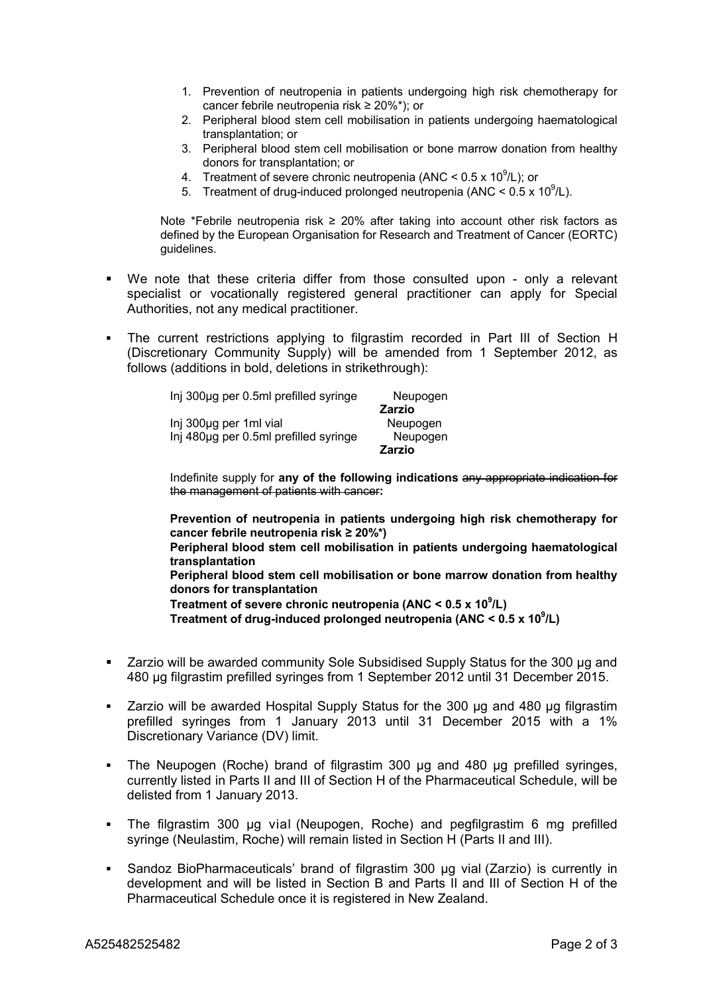- 1. Prevention of neutropenia in patients undergoing high risk chemotherapy for cancer febrile neutropenia risk ≥ 20%\*); or
- 2. Peripheral blood stem cell mobilisation in patients undergoing haematological transplantation; or
- 3. Peripheral blood stem cell mobilisation or bone marrow donation from healthy donors for transplantation; or
- 4. Treatment of severe chronic neutropenia (ANC <  $0.5 \times 10^9$ /L); or
- 5. Treatment of drug-induced prolonged neutropenia (ANC <  $0.5 \times 10^9$ /L).

Note \*Febrile neutropenia risk ≥ 20% after taking into account other risk factors as defined by the European Organisation for Research and Treatment of Cancer (EORTC) guidelines.

- We note that these criteria differ from those consulted upon only a relevant specialist or vocationally registered general practitioner can apply for Special Authorities, not any medical practitioner.
- The current restrictions applying to filgrastim recorded in Part III of Section H (Discretionary Community Supply) will be amended from 1 September 2012, as follows (additions in bold, deletions in strikethrough):

| Inj 300µg per 0.5ml prefilled syringe | Neupogen      |
|---------------------------------------|---------------|
|                                       | <b>Zarzio</b> |
| Inj 300µg per 1ml vial                | Neupogen      |
| Inj 480µg per 0.5ml prefilled syringe | Neupogen      |
|                                       | <b>Zarzio</b> |

Indefinite supply for **any of the following indications** any appropriate indication for the management of patients with cancer**:**

**Prevention of neutropenia in patients undergoing high risk chemotherapy for cancer febrile neutropenia risk ≥ 20%\*) Peripheral blood stem cell mobilisation in patients undergoing haematological transplantation Peripheral blood stem cell mobilisation or bone marrow donation from healthy donors for transplantation Treatment of severe chronic neutropenia (ANC < 0.5 x 10<sup>9</sup> /L) Treatment of drug-induced prolonged neutropenia (ANC < 0.5 x 10<sup>9</sup> /L)**

- Zarzio will be awarded community Sole Subsidised Supply Status for the 300 µg and 480 µg filgrastim prefilled syringes from 1 September 2012 until 31 December 2015.
- Zarzio will be awarded Hospital Supply Status for the 300 µg and 480 µg filgrastim prefilled syringes from 1 January 2013 until 31 December 2015 with a 1% Discretionary Variance (DV) limit.
- The Neupogen (Roche) brand of filgrastim 300 µg and 480 µg prefilled syringes, currently listed in Parts II and III of Section H of the Pharmaceutical Schedule, will be delisted from 1 January 2013.
- The filgrastim 300 µg vial (Neupogen, Roche) and pegfilgrastim 6 mg prefilled syringe (Neulastim, Roche) will remain listed in Section H (Parts II and III).
- Sandoz BioPharmaceuticals' brand of filgrastim 300 µg vial (Zarzio) is currently in development and will be listed in Section B and Parts II and III of Section H of the Pharmaceutical Schedule once it is registered in New Zealand.